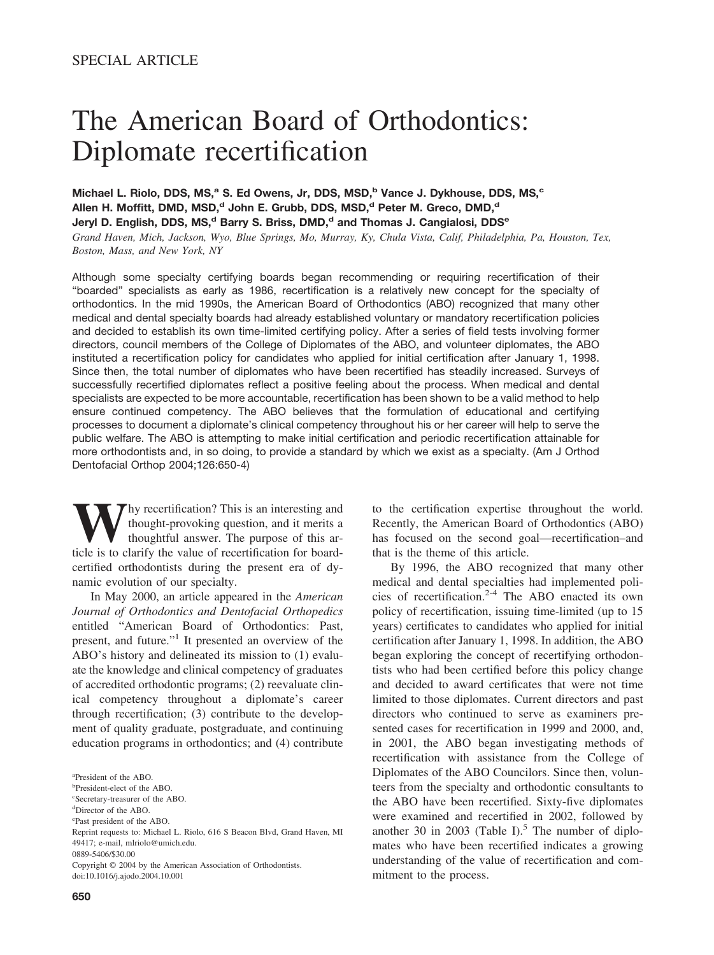# The American Board of Orthodontics: Diplomate recertification

Michael L. Riolo, DDS, MS,<sup>a</sup> S. Ed Owens, Jr, DDS, MSD,<sup>b</sup> Vance J. Dykhouse, DDS, MS,<sup>c</sup> Allen H. Moffitt, DMD, MSD,<sup>d</sup> John E. Grubb, DDS, MSD,<sup>d</sup> Peter M. Greco, DMD,<sup>d</sup> **Jeryl D. English, DDS, MS,<sup>d</sup> Barry S. Briss, DMD,<sup>d</sup> and Thomas J. Cangialosi, DDS<sup>e</sup>** 

*Grand Haven, Mich, Jackson, Wyo, Blue Springs, Mo, Murray, Ky, Chula Vista, Calif, Philadelphia, Pa, Houston, Tex, Boston, Mass, and New York, NY*

Although some specialty certifying boards began recommending or requiring recertification of their "boarded" specialists as early as 1986, recertification is a relatively new concept for the specialty of orthodontics. In the mid 1990s, the American Board of Orthodontics (ABO) recognized that many other medical and dental specialty boards had already established voluntary or mandatory recertification policies and decided to establish its own time-limited certifying policy. After a series of field tests involving former directors, council members of the College of Diplomates of the ABO, and volunteer diplomates, the ABO instituted a recertification policy for candidates who applied for initial certification after January 1, 1998. Since then, the total number of diplomates who have been recertified has steadily increased. Surveys of successfully recertified diplomates reflect a positive feeling about the process. When medical and dental specialists are expected to be more accountable, recertification has been shown to be a valid method to help ensure continued competency. The ABO believes that the formulation of educational and certifying processes to document a diplomate's clinical competency throughout his or her career will help to serve the public welfare. The ABO is attempting to make initial certification and periodic recertification attainable for more orthodontists and, in so doing, to provide a standard by which we exist as a specialty. (Am J Orthod Dentofacial Orthop 2004;126:650-4)

Thy recertification? This is an interesting and thought-provoking question, and it merits a thoughtful answer. The purpose of this article is to clarify the value of recertification for boardcertified orthodontists during the present era of dynamic evolution of our specialty.

In May 2000, an article appeared in the *American Journal of Orthodontics and Dentofacial Orthopedics* entitled "American Board of Orthodontics: Past, present, and future.["1](#page-4-0) It presented an overview of the ABO's history and delineated its mission to (1) evaluate the knowledge and clinical competency of graduates of accredited orthodontic programs; (2) reevaluate clinical competency throughout a diplomate's career through recertification; (3) contribute to the development of quality graduate, postgraduate, and continuing education programs in orthodontics; and (4) contribute

0889-5406/\$30.00

Copyright © 2004 by the American Association of Orthodontists. doi:10.1016/j.ajodo.2004.10.001

to the certification expertise throughout the world. Recently, the American Board of Orthodontics (ABO) has focused on the second goal—recertification–and that is the theme of this article.

By 1996, the ABO recognized that many other medical and dental specialties had implemented policies of recertification[.2-4](#page-4-0) The ABO enacted its own policy of recertification, issuing time-limited (up to 15 years) certificates to candidates who applied for initial certification after January 1, 1998. In addition, the ABO began exploring the concept of recertifying orthodontists who had been certified before this policy change and decided to award certificates that were not time limited to those diplomates. Current directors and past directors who continued to serve as examiners presented cases for recertification in 1999 and 2000, and, in 2001, the ABO began investigating methods of recertification with assistance from the College of Diplomates of the ABO Councilors. Since then, volunteers from the specialty and orthodontic consultants to the ABO have been recertified. Sixty-five diplomates were examined and recertified in 2002, followed by another 30 in 2003 [\(Table I\)](#page-1-0).<sup>5</sup> The number of diplomates who have been recertified indicates a growing understanding of the value of recertification and commitment to the process.

a President of the ABO.

b President-elect of the ABO.

c Secretary-treasurer of the ABO.

d Director of the ABO.

e Past president of the ABO.

Reprint requests to: Michael L. Riolo, 616 S Beacon Blvd, Grand Haven, MI 49417; e-mail, mlriolo@umich.edu.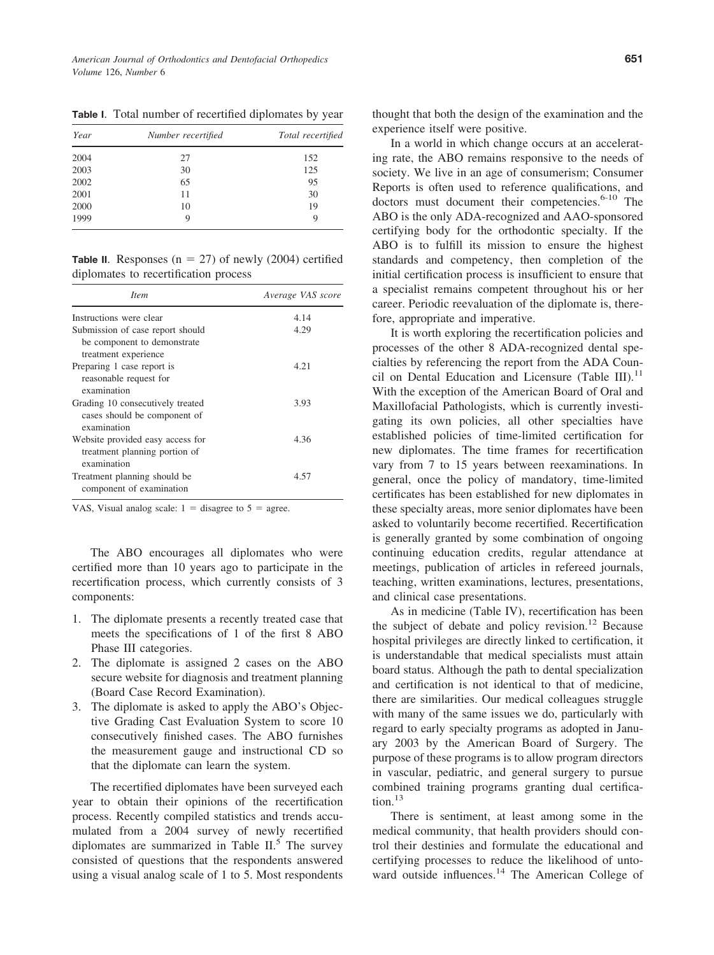<span id="page-1-0"></span>**Table I**. Total number of recertified diplomates by year

| Year | Number recertified | Total recertified |
|------|--------------------|-------------------|
| 2004 | 27                 | 152               |
| 2003 | 30                 | 125               |
| 2002 | 65                 | 95                |
| 2001 | 11                 | 30                |
| 2000 | 10                 | 19                |
| 1999 | 9                  | 9                 |

**Table II.** Responses  $(n = 27)$  of newly (2004) certified diplomates to recertification process

| <i>Item</i>                                                                      | Average VAS score |
|----------------------------------------------------------------------------------|-------------------|
| Instructions were clear                                                          | 4.14              |
| Submission of case report should                                                 | 4.29              |
| be component to demonstrate                                                      |                   |
| treatment experience                                                             |                   |
| Preparing 1 case report is<br>reasonable request for                             | 4.21              |
| examination                                                                      |                   |
| Grading 10 consecutively treated<br>cases should be component of<br>examination  | 3.93              |
| Website provided easy access for<br>treatment planning portion of<br>examination | 4.36              |
| Treatment planning should be.<br>component of examination                        | 4.57              |

VAS, Visual analog scale:  $1 =$  disagree to  $5 =$  agree.

The ABO encourages all diplomates who were certified more than 10 years ago to participate in the recertification process, which currently consists of 3 components:

- 1. The diplomate presents a recently treated case that meets the specifications of 1 of the first 8 ABO Phase III categories.
- 2. The diplomate is assigned 2 cases on the ABO secure website for diagnosis and treatment planning (Board Case Record Examination).
- 3. The diplomate is asked to apply the ABO's Objective Grading Cast Evaluation System to score 10 consecutively finished cases. The ABO furnishes the measurement gauge and instructional CD so that the diplomate can learn the system.

The recertified diplomates have been surveyed each year to obtain their opinions of the recertification process. Recently compiled statistics and trends accumulated from a 2004 survey of newly recertified diplomates are summarized in Table  $II<sub>1</sub><sup>5</sup>$ . The survey consisted of questions that the respondents answered using a visual analog scale of 1 to 5. Most respondents

thought that both the design of the examination and the experience itself were positive.

In a world in which change occurs at an accelerating rate, the ABO remains responsive to the needs of society. We live in an age of consumerism; Consumer Reports is often used to reference qualifications, and doctors must document their competencies.<sup>6-10</sup> The ABO is the only ADA-recognized and AAO-sponsored certifying body for the orthodontic specialty. If the ABO is to fulfill its mission to ensure the highest standards and competency, then completion of the initial certification process is insufficient to ensure that a specialist remains competent throughout his or her career. Periodic reevaluation of the diplomate is, therefore, appropriate and imperative.

It is worth exploring the recertification policies and processes of the other 8 ADA-recognized dental specialties by referencing the report from the ADA Council on Dental Education and Licensure (Table III).<sup>11</sup> With the exception of the American Board of Oral and Maxillofacial Pathologists, which is currently investigating its own policies, all other specialties have established policies of time-limited certification for new diplomates. The time frames for recertification vary from 7 to 15 years between reexaminations. In general, once the policy of mandatory, time-limited certificates has been established for new diplomates in these specialty areas, more senior diplomates have been asked to voluntarily become recertified. Recertification is generally granted by some combination of ongoing continuing education credits, regular attendance at meetings, publication of articles in refereed journals, teaching, written examinations, lectures, presentations, and clinical case presentations.

As in medicine [\(Table IV\)](#page-3-0), recertification has been the subject of debate and policy revision.<sup>12</sup> Because hospital privileges are directly linked to certification, it is understandable that medical specialists must attain board status. Although the path to dental specialization and certification is not identical to that of medicine, there are similarities. Our medical colleagues struggle with many of the same issues we do, particularly with regard to early specialty programs as adopted in January 2003 by the American Board of Surgery. The purpose of these programs is to allow program directors in vascular, pediatric, and general surgery to pursue combined training programs granting dual certification. $13$ 

There is sentiment, at least among some in the medical community, that health providers should control their destinies and formulate the educational and certifying processes to reduce the likelihood of untoward outside influences.<sup>14</sup> The American College of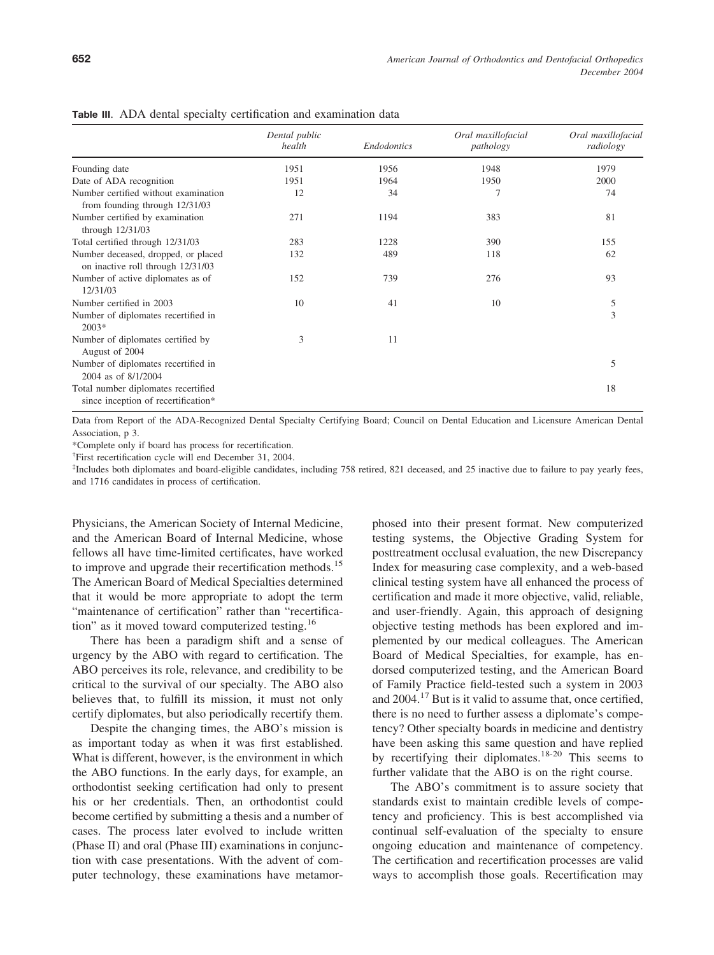|                                                                            | Dental public<br>health | <b>Endodontics</b> | Oral maxillofacial<br>pathology | Oral maxillofacial<br>radiology |
|----------------------------------------------------------------------------|-------------------------|--------------------|---------------------------------|---------------------------------|
| Founding date                                                              | 1951                    | 1956               | 1948                            | 1979                            |
| Date of ADA recognition                                                    | 1951                    | 1964               | 1950                            | 2000                            |
| Number certified without examination<br>from founding through 12/31/03     | 12                      | 34                 | 7                               | 74                              |
| Number certified by examination<br>through 12/31/03                        | 271                     | 1194               | 383                             | 81                              |
| Total certified through 12/31/03                                           | 283                     | 1228               | 390                             | 155                             |
| Number deceased, dropped, or placed<br>on inactive roll through 12/31/03   | 132                     | 489                | 118                             | 62                              |
| Number of active diplomates as of<br>12/31/03                              | 152                     | 739                | 276                             | 93                              |
| Number certified in 2003                                                   | 10                      | 41                 | 10                              | 5                               |
| Number of diplomates recertified in<br>$2003*$                             |                         |                    |                                 | 3                               |
| Number of diplomates certified by<br>August of 2004                        | 3                       | 11                 |                                 |                                 |
| Number of diplomates recertified in<br>2004 as of 8/1/2004                 |                         |                    |                                 | 5                               |
| Total number diplomates recertified<br>since inception of recertification* |                         |                    |                                 | 18                              |

## **Table III**. ADA dental specialty certification and examination data

Data from Report of the ADA-Recognized Dental Specialty Certifying Board; Council on Dental Education and Licensure American Dental Association, p 3.

\*Complete only if board has process for recertification.

† First recertification cycle will end December 31, 2004.

‡ Includes both diplomates and board-eligible candidates, including 758 retired, 821 deceased, and 25 inactive due to failure to pay yearly fees, and 1716 candidates in process of certification.

Physicians, the American Society of Internal Medicine, and the American Board of Internal Medicine, whose fellows all have time-limited certificates, have worked to improve and upgrade their recertification methods.<sup>15</sup> The American Board of Medical Specialties determined that it would be more appropriate to adopt the term "maintenance of certification" rather than "recertification" as it moved toward computerized testing[.16](#page-4-0)

There has been a paradigm shift and a sense of urgency by the ABO with regard to certification. The ABO perceives its role, relevance, and credibility to be critical to the survival of our specialty. The ABO also believes that, to fulfill its mission, it must not only certify diplomates, but also periodically recertify them.

Despite the changing times, the ABO's mission is as important today as when it was first established. What is different, however, is the environment in which the ABO functions. In the early days, for example, an orthodontist seeking certification had only to present his or her credentials. Then, an orthodontist could become certified by submitting a thesis and a number of cases. The process later evolved to include written (Phase II) and oral (Phase III) examinations in conjunction with case presentations. With the advent of computer technology, these examinations have metamor-

phosed into their present format. New computerized testing systems, the Objective Grading System for posttreatment occlusal evaluation, the new Discrepancy Index for measuring case complexity, and a web-based clinical testing system have all enhanced the process of certification and made it more objective, valid, reliable, and user-friendly. Again, this approach of designing objective testing methods has been explored and implemented by our medical colleagues. The American Board of Medical Specialties, for example, has endorsed computerized testing, and the American Board of Family Practice field-tested such a system in 2003 and 2004.<sup>17</sup> But is it valid to assume that, once certified, there is no need to further assess a diplomate's competency? Other specialty boards in medicine and dentistry have been asking this same question and have replied by recertifying their diplomates.<sup>18-20</sup> This seems to further validate that the ABO is on the right course.

The ABO's commitment is to assure society that standards exist to maintain credible levels of competency and proficiency. This is best accomplished via continual self-evaluation of the specialty to ensure ongoing education and maintenance of competency. The certification and recertification processes are valid ways to accomplish those goals. Recertification may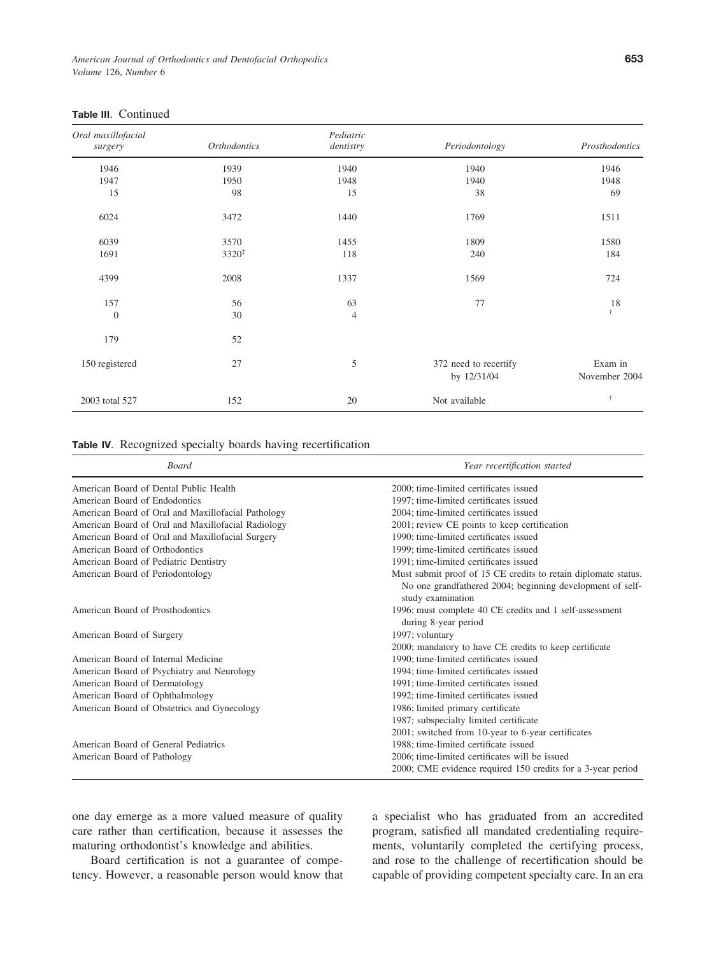## <span id="page-3-0"></span>**Table III**. Continued

| Oral maxillofacial<br>surgery | <b>Orthodontics</b> | Pediatric<br>dentistry | Periodontology                       | Prosthodontics           |
|-------------------------------|---------------------|------------------------|--------------------------------------|--------------------------|
| 1946                          | 1939                | 1940                   | 1940                                 | 1946                     |
| 1947                          | 1950                | 1948                   | 1940                                 | 1948                     |
| 15                            | 98                  | 15                     | 38                                   | 69                       |
| 6024                          | 3472                | 1440                   | 1769                                 | 1511                     |
| 6039                          | 3570                | 1455                   | 1809                                 | 1580                     |
| 1691                          | $3320*$             | 118                    | 240                                  | 184                      |
| 4399                          | 2008                | 1337                   | 1569                                 | 724                      |
| 157                           | 56                  | 63                     | 77                                   | 18                       |
| $\boldsymbol{0}$              | 30                  | 4                      |                                      | ÷                        |
| 179                           | 52                  |                        |                                      |                          |
| 150 registered                | 27                  | 5                      | 372 need to recertify<br>by 12/31/04 | Exam in<br>November 2004 |
| 2003 total 527                | 152                 | 20                     | Not available                        | $\ddagger$               |

#### **Table IV**. Recognized specialty boards having recertification

| <b>Board</b>                                       | Year recertification started                                                                                                                     |
|----------------------------------------------------|--------------------------------------------------------------------------------------------------------------------------------------------------|
| American Board of Dental Public Health             | 2000; time-limited certificates issued                                                                                                           |
| American Board of Endodontics                      | 1997; time-limited certificates issued                                                                                                           |
| American Board of Oral and Maxillofacial Pathology | 2004; time-limited certificates issued                                                                                                           |
| American Board of Oral and Maxillofacial Radiology | 2001; review CE points to keep certification                                                                                                     |
| American Board of Oral and Maxillofacial Surgery   | 1990; time-limited certificates issued                                                                                                           |
| American Board of Orthodontics                     | 1999; time-limited certificates issued                                                                                                           |
| American Board of Pediatric Dentistry              | 1991; time-limited certificates issued                                                                                                           |
| American Board of Periodontology                   | Must submit proof of 15 CE credits to retain diplomate status.<br>No one grandfathered 2004; beginning development of self-<br>study examination |
| American Board of Prosthodontics                   | 1996; must complete 40 CE credits and 1 self-assessment<br>during 8-year period                                                                  |
| American Board of Surgery                          | 1997; voluntary                                                                                                                                  |
|                                                    | 2000; mandatory to have CE credits to keep certificate                                                                                           |
| American Board of Internal Medicine                | 1990; time-limited certificates issued                                                                                                           |
| American Board of Psychiatry and Neurology         | 1994; time-limited certificates issued                                                                                                           |
| American Board of Dermatology                      | 1991; time-limited certificates issued                                                                                                           |
| American Board of Ophthalmology                    | 1992; time-limited certificates issued                                                                                                           |
| American Board of Obstetrics and Gynecology        | 1986; limited primary certificate                                                                                                                |
|                                                    | 1987; subspecialty limited certificate                                                                                                           |
|                                                    | 2001; switched from 10-year to 6-year certificates                                                                                               |
| American Board of General Pediatrics               | 1988; time-limited certificate issued                                                                                                            |
| American Board of Pathology                        | 2006; time-limited certificates will be issued                                                                                                   |
|                                                    | 2000; CME evidence required 150 credits for a 3-year period                                                                                      |

one day emerge as a more valued measure of quality care rather than certification, because it assesses the maturing orthodontist's knowledge and abilities.

Board certification is not a guarantee of competency. However, a reasonable person would know that a specialist who has graduated from an accredited program, satisfied all mandated credentialing requirements, voluntarily completed the certifying process, and rose to the challenge of recertification should be capable of providing competent specialty care. In an era